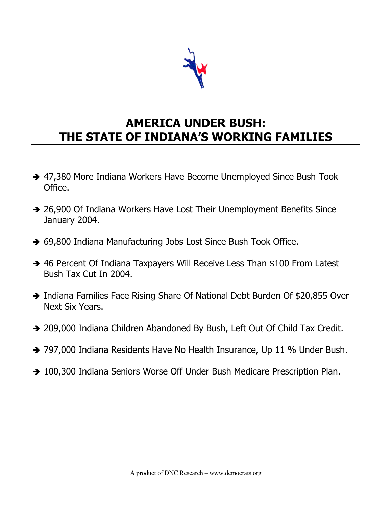

# **AMERICA UNDER BUSH: THE STATE OF INDIANA'S WORKING FAMILIES**

- → 47,380 More Indiana Workers Have Become Unemployed Since Bush Took Office.
- → 26,900 Of Indiana Workers Have Lost Their Unemployment Benefits Since January 2004.
- → 69,800 Indiana Manufacturing Jobs Lost Since Bush Took Office.
- → 46 Percent Of Indiana Taxpayers Will Receive Less Than \$100 From Latest Bush Tax Cut In 2004.
- → Indiana Families Face Rising Share Of National Debt Burden Of \$20,855 Over Next Six Years.
- 209,000 Indiana Children Abandoned By Bush, Left Out Of Child Tax Credit.
- → 797,000 Indiana Residents Have No Health Insurance, Up 11 % Under Bush.
- → 100,300 Indiana Seniors Worse Off Under Bush Medicare Prescription Plan.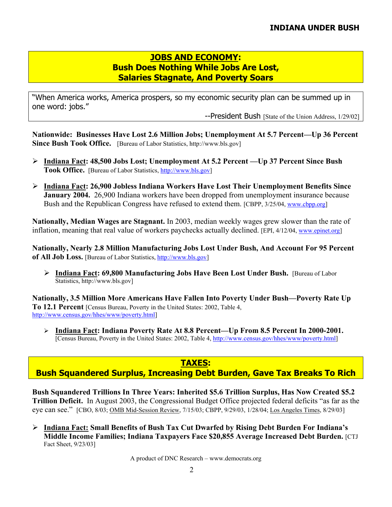#### **JOBS AND ECONOMY: Bush Does Nothing While Jobs Are Lost, Salaries Stagnate, And Poverty Soars**

"When America works, America prospers, so my economic security plan can be summed up in one word: jobs."

--President Bush [State of the Union Address, 1/29/02]

**Nationwide: Businesses Have Lost 2.6 Million Jobs; Unemployment At 5.7 Percent—Up 36 Percent Since Bush Took Office.** [Bureau of Labor Statistics, http://www.bls.gov]

- ¾ **Indiana Fact: 48,500 Jobs Lost; Unemployment At 5.2 Percent —Up 37 Percent Since Bush Took Office.** [Bureau of Labor Statistics, http://www.bls.gov]
- ¾ **Indiana Fact: 26,900 Jobless Indiana Workers Have Lost Their Unemployment Benefits Since January 2004.** 26,900 Indiana workers have been dropped from unemployment insurance because Bush and the Republican Congress have refused to extend them. [CBPP, 3/25/04, www.cbpp.org]

**Nationally, Median Wages are Stagnant.** In 2003, median weekly wages grew slower than the rate of inflation, meaning that real value of workers paychecks actually declined. [EPI, 4/12/04, www.epinet.org]

**Nationally, Nearly 2.8 Million Manufacturing Jobs Lost Under Bush, And Account For 95 Percent of All Job Loss.** [Bureau of Labor Statistics, http://www.bls.gov]

¾ **Indiana Fact: 69,800 Manufacturing Jobs Have Been Lost Under Bush.** [Bureau of Labor Statistics, http://www.bls.gov]

**Nationally, 3.5 Million More Americans Have Fallen Into Poverty Under Bush—Poverty Rate Up To 12.1 Percent** [Census Bureau, Poverty in the United States: 2002, Table 4, http://www.census.gov/hhes/www/poverty.html]

¾ **Indiana Fact: Indiana Poverty Rate At 8.8 Percent—Up From 8.5 Percent In 2000-2001.** [Census Bureau, Poverty in the United States: 2002, Table 4, http://www.census.gov/hhes/www/poverty.html]

#### **TAXES: Bush Squandered Surplus, Increasing Debt Burden, Gave Tax Breaks To Rich**

**Bush Squandered Trillions In Three Years: Inherited \$5.6 Trillion Surplus, Has Now Created \$5.2 Trillion Deficit.** In August 2003, the Congressional Budget Office projected federal deficits "as far as the eye can see." [CBO, 8/03; OMB Mid-Session Review, 7/15/03; CBPP, 9/29/03, 1/28/04; Los Angeles Times, 8/29/03]

¾ **Indiana Fact: Small Benefits of Bush Tax Cut Dwarfed by Rising Debt Burden For Indiana's Middle Income Families; Indiana Taxpayers Face \$20,855 Average Increased Debt Burden.** [CTJ Fact Sheet, 9/23/03]

A product of DNC Research – www.democrats.org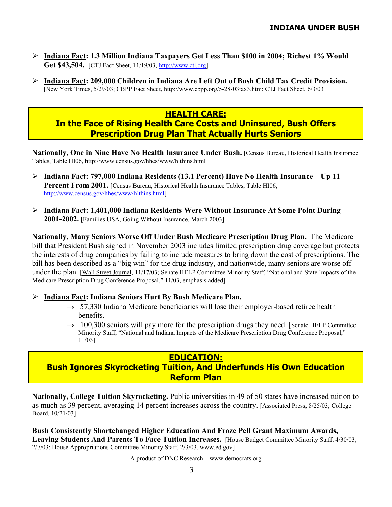- ¾ **Indiana Fact: 1.3 Million Indiana Taxpayers Get Less Than \$100 in 2004; Richest 1% Would Get \$43,504.** [CTJ Fact Sheet, 11/19/03, http://www.ctj.org]
- ¾ **Indiana Fact: 209,000 Children in Indiana Are Left Out of Bush Child Tax Credit Provision.**  [New York Times, 5/29/03; CBPP Fact Sheet, http://www.cbpp.org/5-28-03tax3.htm; CTJ Fact Sheet, 6/3/03]

#### **HEALTH CARE:**

## **In the Face of Rising Health Care Costs and Uninsured, Bush Offers Prescription Drug Plan That Actually Hurts Seniors**

Nationally, One in Nine Have No Health Insurance Under Bush. [Census Bureau, Historical Health Insurance Tables, Table HI06, http://www.census.gov/hhes/www/hlthins.html]

- ¾ **Indiana Fact: 797,000 Indiana Residents (13.1 Percent) Have No Health Insurance—Up 11 Percent From 2001.** [Census Bureau, Historical Health Insurance Tables, Table HI06, http://www.census.gov/hhes/www/hlthins.html]
- ¾ **Indiana Fact: 1,401,000 Indiana Residents Were Without Insurance At Some Point During 2001-2002.** [Families USA, Going Without Insurance, March 2003]

**Nationally, Many Seniors Worse Off Under Bush Medicare Prescription Drug Plan.** The Medicare bill that President Bush signed in November 2003 includes limited prescription drug coverage but protects the interests of drug companies by failing to include measures to bring down the cost of prescriptions. The bill has been described as a "big win" for the drug industry, and nationwide, many seniors are worse off under the plan. [Wall Street Journal, 11/17/03; Senate HELP Committee Minority Staff, "National and State Impacts of the Medicare Prescription Drug Conference Proposal," 11/03, emphasis added]

¾ **Indiana Fact: Indiana Seniors Hurt By Bush Medicare Plan.** 

- $\rightarrow$  57,330 Indiana Medicare beneficiaries will lose their employer-based retiree health benefits.
- $\rightarrow$  100,300 seniors will pay more for the prescription drugs they need. [Senate HELP Committee Minority Staff, "National and Indiana Impacts of the Medicare Prescription Drug Conference Proposal," 11/03]

## **EDUCATION: Bush Ignores Skyrocketing Tuition, And Underfunds His Own Education**

**Reform Plan** 

**Nationally, College Tuition Skyrocketing.** Public universities in 49 of 50 states have increased tuition to as much as 39 percent, averaging 14 percent increases across the country. [Associated Press, 8/25/03; College Board, 10/21/03]

**Bush Consistently Shortchanged Higher Education And Froze Pell Grant Maximum Awards, Leaving Students And Parents To Face Tuition Increases.** [House Budget Committee Minority Staff, 4/30/03, 2/7/03; House Appropriations Committee Minority Staff, 2/3/03, www.ed.gov]

A product of DNC Research – www.democrats.org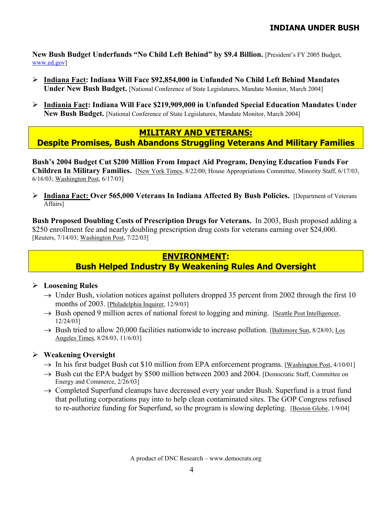**New Bush Budget Underfunds "No Child Left Behind" by \$9.4 Billion.** [President's FY 2005 Budget, www.ed.gov]

- ¾ **Indiana Fact: Indiana Will Face \$92,854,000 in Unfunded No Child Left Behind Mandates Under New Bush Budget.** [National Conference of State Legislatures, Mandate Monitor, March 2004]
- ¾ **Indiania Fact: Indiana Will Face \$219,909,000 in Unfunded Special Education Mandates Under New Bush Budget.** [National Conference of State Legislatures, Mandate Monitor, March 2004]

#### **MILITARY AND VETERANS: Despite Promises, Bush Abandons Struggling Veterans And Military Families**

**Bush's 2004 Budget Cut \$200 Million From Impact Aid Program, Denying Education Funds For Children In Military Families.** [New York Times, 8/22/00; House Appropriations Committee, Minority Staff, 6/17/03, 6/16/03; Washington Post, 6/17/03]

¾ **Indiana Fact: Over 565,000 Veterans In Indiana Affected By Bush Policies.** [Department of Veterans Affairs]

**Bush Proposed Doubling Costs of Prescription Drugs for Veterans.** In 2003, Bush proposed adding a \$250 enrollment fee and nearly doubling prescription drug costs for veterans earning over \$24,000. [Reuters, 7/14/03; Washington Post, 7/22/03]

## **ENVIRONMENT:**

# **Bush Helped Industry By Weakening Rules And Oversight**

#### ¾ **Loosening Rules**

- $\rightarrow$  Under Bush, violation notices against polluters dropped 35 percent from 2002 through the first 10 months of 2003. [Philadelphia Inquirer, 12/9/03]
- → Bush opened 9 million acres of national forest to logging and mining. [Seattle Post Intelligencer, 12/24/03]
- $\rightarrow$  Bush tried to allow 20,000 facilities nationwide to increase pollution. [Baltimore Sun, 8/28/03; Los Angeles Times, 8/28/03, 11/6/03]

#### ¾ **Weakening Oversight**

- $\rightarrow$  In his first budget Bush cut \$10 million from EPA enforcement programs. [Washington Post, 4/10/01]
- $\rightarrow$  Bush cut the EPA budget by \$500 million between 2003 and 2004. [Democratic Staff, Committee on Energy and Commerce, 2/26/03]
- $\rightarrow$  Completed Superfund cleanups have decreased every year under Bush. Superfund is a trust fund that polluting corporations pay into to help clean contaminated sites. The GOP Congress refused to re-authorize funding for Superfund, so the program is slowing depleting. [Boston Globe, 1/9/04]